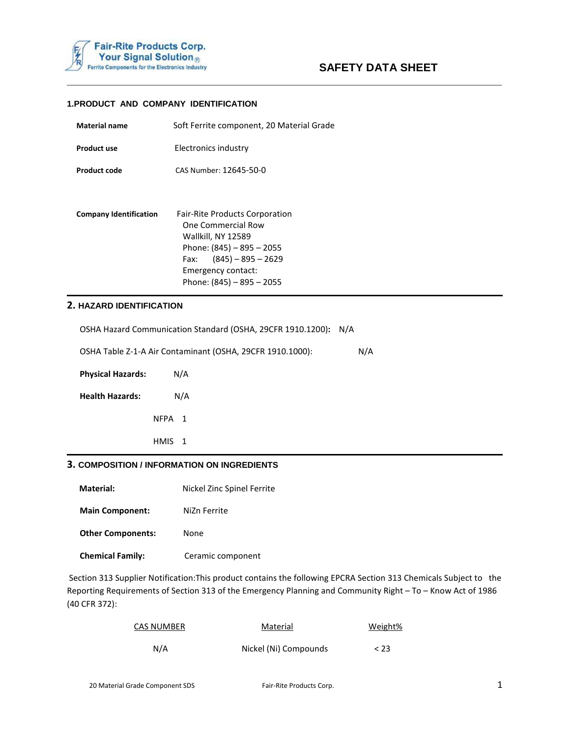

**\_\_\_\_\_\_\_\_\_\_\_\_\_\_\_\_\_\_\_\_\_\_\_\_\_\_\_\_\_\_\_\_\_\_\_\_\_\_\_\_\_\_\_\_\_\_\_\_\_\_\_\_\_\_\_\_\_\_\_\_\_\_\_\_\_\_\_\_\_\_**

### **1.PRODUCT AND COMPANY IDENTIFICATION**

| <b>Material name</b>          | Soft Ferrite component, 20 Material Grade                                                                                                                                                             |
|-------------------------------|-------------------------------------------------------------------------------------------------------------------------------------------------------------------------------------------------------|
| <b>Product use</b>            | Electronics industry                                                                                                                                                                                  |
| Product code                  | CAS Number: 12645-50-0                                                                                                                                                                                |
|                               |                                                                                                                                                                                                       |
| <b>Company Identification</b> | <b>Fair-Rite Products Corporation</b><br>One Commercial Row<br>Wallkill, NY 12589<br>Phone: $(845) - 895 - 2055$<br>$(845) - 895 - 2629$<br>Fax:<br>Emergency contact:<br>Phone: $(845) - 895 - 2055$ |

### **2. HAZARD IDENTIFICATION**

| 3. COMPOSITION / INFORMATION ON INGREDIENTS |                                                             |     |
|---------------------------------------------|-------------------------------------------------------------|-----|
|                                             | HMIS <sub>1</sub>                                           |     |
|                                             | NFPA <sub>1</sub>                                           |     |
| <b>Health Hazards:</b>                      | N/A                                                         |     |
| <b>Physical Hazards:</b>                    | N/A                                                         |     |
|                                             | OSHA Table Z-1-A Air Contaminant (OSHA, 29CFR 1910.1000):   | N/A |
|                                             | OSHA Hazard Communication Standard (OSHA, 29CFR 1910.1200): | N/A |

**Material:** Nickel Zinc Spinel Ferrite

**Main Component:** NiZn Ferrite

**Other Components:** None

 **Chemical Family:** Ceramic component

 Section 313 Supplier Notification:This product contains the following EPCRA Section 313 Chemicals Subject to the Reporting Requirements of Section 313 of the Emergency Planning and Community Right – To – Know Act of 1986 (40 CFR 372):

| <b>CAS NUMBER</b> | Material              | Weight% |
|-------------------|-----------------------|---------|
| N/A               | Nickel (Ni) Compounds | < 23    |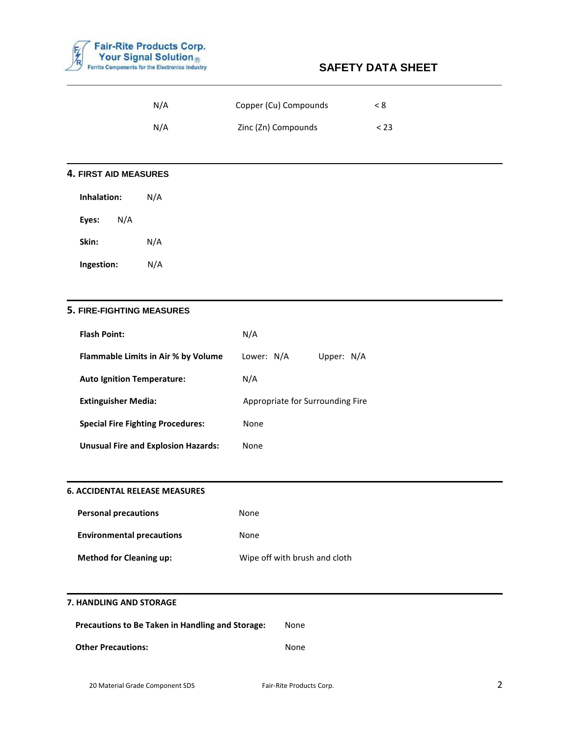

| N/A | Copper (Cu) Compounds | < 8    |
|-----|-----------------------|--------|
| N/A | Zinc (Zn) Compounds   | $<$ 23 |

**\_\_\_\_\_\_\_\_\_\_\_\_\_\_\_\_\_\_\_\_\_\_\_\_\_\_\_\_\_\_\_\_\_\_\_\_\_\_\_\_\_\_\_\_\_\_\_\_\_\_\_\_\_\_\_\_\_\_\_\_\_\_\_\_\_\_\_\_\_\_**

# **4. FIRST AID MEASURES**

| Inhalation: |     | N/A |
|-------------|-----|-----|
| Eyes:       | N/A |     |
| Skin:       |     | N/A |
| Ingestion:  |     | N/A |

## **5. FIRE-FIGHTING MEASURES**

| <b>Flash Point:</b>                        | N/A                              |
|--------------------------------------------|----------------------------------|
| <b>Flammable Limits in Air % by Volume</b> | Lower: N/A<br>Upper: N/A         |
| <b>Auto Ignition Temperature:</b>          | N/A                              |
| <b>Extinguisher Media:</b>                 | Appropriate for Surrounding Fire |
| <b>Special Fire Fighting Procedures:</b>   | None                             |
| <b>Unusual Fire and Explosion Hazards:</b> | None                             |

# **6. ACCIDENTAL RELEASE MEASURES**

| <b>Personal precautions</b>      | None                          |
|----------------------------------|-------------------------------|
| <b>Environmental precautions</b> | None                          |
| <b>Method for Cleaning up:</b>   | Wipe off with brush and cloth |

#### **7. HANDLING AND STORAGE**

| <b>Precautions to Be Taken in Handling and Storage:</b> |      |
|---------------------------------------------------------|------|
| <b>Other Precautions:</b>                               | None |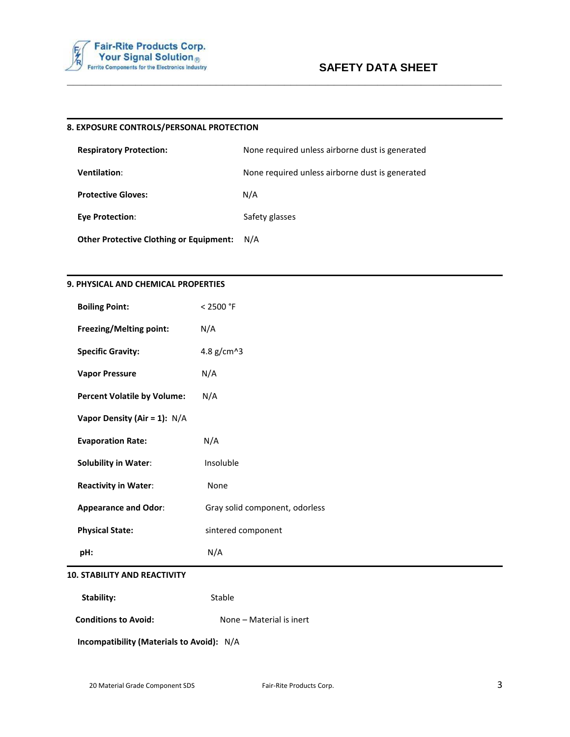

#### **8. EXPOSURE CONTROLS/PERSONAL PROTECTION**

| <b>Respiratory Protection:</b> | None required unless airborne dust is generated |
|--------------------------------|-------------------------------------------------|
| <b>Ventilation:</b>            | None required unless airborne dust is generated |
| <b>Protective Gloves:</b>      | N/A                                             |
| Eye Protection:                | Safety glasses                                  |
|                                |                                                 |

**\_\_\_\_\_\_\_\_\_\_\_\_\_\_\_\_\_\_\_\_\_\_\_\_\_\_\_\_\_\_\_\_\_\_\_\_\_\_\_\_\_\_\_\_\_\_\_\_\_\_\_\_\_\_\_\_\_\_\_\_\_\_\_\_\_\_\_\_\_\_**

 **Other Protective Clothing or Equipment:** N/A

### **9. PHYSICAL AND CHEMICAL PROPERTIES**

| <b>Boiling Point:</b>               | < 2500 °F                      |
|-------------------------------------|--------------------------------|
| Freezing/Melting point:             | N/A                            |
| <b>Specific Gravity:</b>            | 4.8 g/cm^3                     |
| <b>Vapor Pressure</b>               | N/A                            |
| <b>Percent Volatile by Volume:</b>  | N/A                            |
| Vapor Density (Air = 1): N/A        |                                |
| <b>Evaporation Rate:</b>            | N/A                            |
| <b>Solubility in Water:</b>         | Insoluble                      |
| <b>Reactivity in Water:</b>         | None                           |
| <b>Appearance and Odor:</b>         | Gray solid component, odorless |
| <b>Physical State:</b>              | sintered component             |
| pH:                                 | N/A                            |
| <b>10. STABILITY AND REACTIVITY</b> |                                |

**Stability:** Stable

**Conditions to Avoid:** None – Material is inert

 **Incompatibility (Materials to Avoid):** N/A